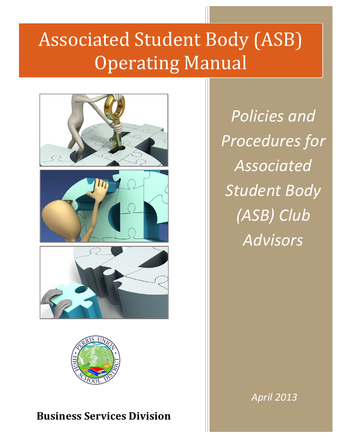# Associated Student Body (ASB) **Operating Manual**





### **Business Services Division**

*Policies and Procedures for Associated*  **Student Body** *(ASB) Club Advisors*

*April 2013*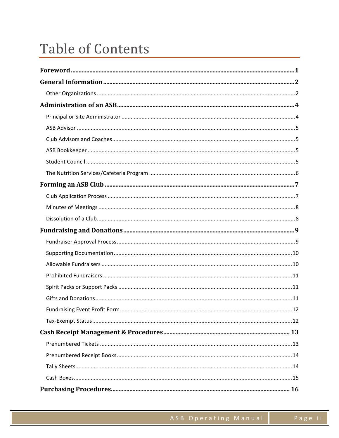### **Table of Contents**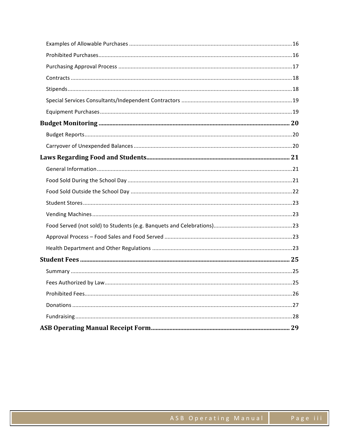| 29 |
|----|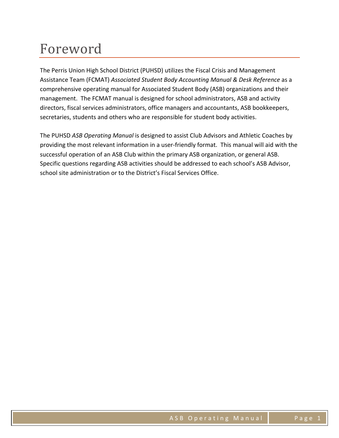### Foreword

The Perris Union High School District (PUHSD) utilizes the Fiscal Crisis and Management Assistance Team (FCMAT) Associated Student Body Accounting Manual & Desk Reference as a comprehensive operating manual for Associated Student Body (ASB) organizations and their management. The FCMAT manual is designed for school administrators, ASB and activity directors, fiscal services administrators, office managers and accountants, ASB bookkeepers, secretaries, students and others who are responsible for student body activities.

The PUHSD *ASB Operating Manual* is designed to assist Club Advisors and Athletic Coaches by providing the most relevant information in a user-friendly format. This manual will aid with the successful operation of an ASB Club within the primary ASB organization, or general ASB. Specific questions regarding ASB activities should be addressed to each school's ASB Advisor, school site administration or to the District's Fiscal Services Office.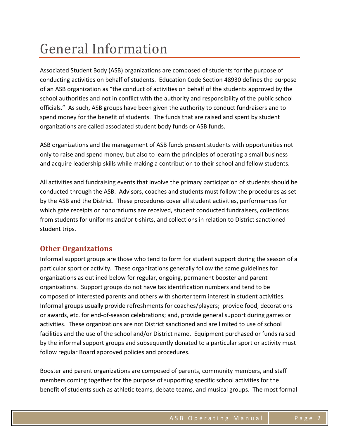### General Information

Associated Student Body (ASB) organizations are composed of students for the purpose of conducting activities on behalf of students. Education Code Section 48930 defines the purpose of an ASB organization as "the conduct of activities on behalf of the students approved by the school authorities and not in conflict with the authority and responsibility of the public school officials." As such, ASB groups have been given the authority to conduct fundraisers and to spend money for the benefit of students. The funds that are raised and spent by student organizations are called associated student body funds or ASB funds.

ASB organizations and the management of ASB funds present students with opportunities not only to raise and spend money, but also to learn the principles of operating a small business and acquire leadership skills while making a contribution to their school and fellow students.

All activities and fundraising events that involve the primary participation of students should be conducted through the ASB. Advisors, coaches and students must follow the procedures as set by the ASB and the District. These procedures cover all student activities, performances for which gate receipts or honorariums are received, student conducted fundraisers, collections from students for uniforms and/or t-shirts, and collections in relation to District sanctioned student trips.

### **Other Organizations**

Informal support groups are those who tend to form for student support during the season of a particular sport or activity. These organizations generally follow the same guidelines for organizations as outlined below for regular, ongoing, permanent booster and parent organizations. Support groups do not have tax identification numbers and tend to be composed of interested parents and others with shorter term interest in student activities. Informal groups usually provide refreshments for coaches/players; provide food, decorations or awards, etc. for end-of-season celebrations; and, provide general support during games or activities. These organizations are not District sanctioned and are limited to use of school facilities and the use of the school and/or District name. Equipment purchased or funds raised by the informal support groups and subsequently donated to a particular sport or activity must follow regular Board approved policies and procedures.

Booster and parent organizations are composed of parents, community members, and staff members coming together for the purpose of supporting specific school activities for the benefit of students such as athletic teams, debate teams, and musical groups. The most formal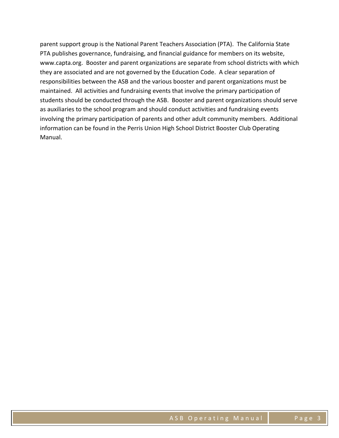parent support group is the National Parent Teachers Association (PTA). The California State PTA publishes governance, fundraising, and financial guidance for members on its website, www.capta.org. Booster and parent organizations are separate from school districts with which they are associated and are not governed by the Education Code. A clear separation of responsibilities between the ASB and the various booster and parent organizations must be maintained. All activities and fundraising events that involve the primary participation of students should be conducted through the ASB. Booster and parent organizations should serve as auxiliaries to the school program and should conduct activities and fundraising events involving the primary participation of parents and other adult community members. Additional information can be found in the Perris Union High School District Booster Club Operating Manual.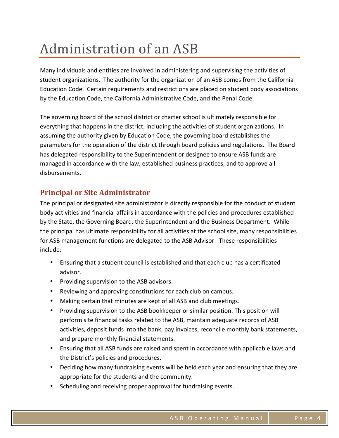### Administration of an ASB

Many individuals and entities are involved in administering and supervising the activities of student organizations. The authority for the organization of an ASB comes from the California Education Code. Certain requirements and restrictions are placed on student body associations by the Education Code, the California Administrative Code, and the Penal Code.

The governing board of the school district or charter school is ultimately responsible for everything that happens in the district, including the activities of student organizations. In assuming the authority given by Education Code, the governing board establishes the parameters for the operation of the district through board policies and regulations. The Board has delegated responsibility to the Superintendent or designee to ensure ASB funds are managed in accordance with the law, established business practices, and to approve all disbursements.

### **Principal or Site Administrator**

The principal or designated site administrator is directly responsible for the conduct of student body activities and financial affairs in accordance with the policies and procedures established by the State, the Governing Board, the Superintendent and the Business Department. While the principal has ultimate responsibility for all activities at the school site, many responsibilities for ASB management functions are delegated to the ASB Advisor. These responsibilities include:

- Ensuring that a student council is established and that each club has a certificated advisor.
- Providing supervision to the ASB advisors.
- Reviewing and approving constitutions for each club on campus.
- Making certain that minutes are kept of all ASB and club meetings.
- Providing supervision to the ASB bookkeeper or similar position. This position will perform site financial tasks related to the ASB, maintain adequate records of ASB activities, deposit funds into the bank, pay invoices, reconcile monthly bank statements, and prepare monthly financial statements.
- Ensuring that all ASB funds are raised and spent in accordance with applicable laws and the District's policies and procedures.
- Deciding how many fundraising events will be held each year and ensuring that they are appropriate for the students and the community.
- Scheduling and receiving proper approval for fundraising events.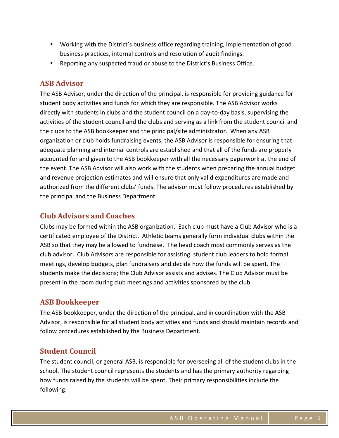- Working with the District's business office regarding training, implementation of good business practices, internal controls and resolution of audit findings.
- Reporting any suspected fraud or abuse to the District's Business Office.

### **ASB Advisor**

The ASB Advisor, under the direction of the principal, is responsible for providing guidance for student body activities and funds for which they are responsible. The ASB Advisor works directly with students in clubs and the student council on a day-to-day basis, supervising the activities of the student council and the clubs and serving as a link from the student council and the clubs to the ASB bookkeeper and the principal/site administrator. When any ASB organization or club holds fundraising events, the ASB Advisor is responsible for ensuring that adequate planning and internal controls are established and that all of the funds are properly accounted for and given to the ASB bookkeeper with all the necessary paperwork at the end of the event. The ASB Advisor will also work with the students when preparing the annual budget and revenue projection estimates and will ensure that only valid expenditures are made and authorized from the different clubs' funds. The advisor must follow procedures established by the principal and the Business Department.

### **Club Advisors and Coaches**

Clubs may be formed within the ASB organization. Each club must have a Club Advisor who is a certificated employee of the District. Athletic teams generally form individual clubs within the ASB so that they may be allowed to fundraise. The head coach most commonly serves as the club advisor. Club Advisors are responsible for assisting student club leaders to hold formal meetings, develop budgets, plan fundraisers and decide how the funds will be spent. The students make the decisions; the Club Advisor assists and advises. The Club Advisor must be present in the room during club meetings and activities sponsored by the club.

### **ASB Bookkeeper**

The ASB bookkeeper, under the direction of the principal, and in coordination with the ASB Advisor, is responsible for all student body activities and funds and should maintain records and follow procedures established by the Business Department.

### **Student Council**

The student council, or general ASB, is responsible for overseeing all of the student clubs in the school. The student council represents the students and has the primary authority regarding how funds raised by the students will be spent. Their primary responsibilities include the following: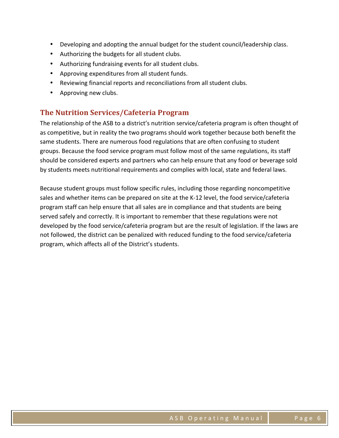- Developing and adopting the annual budget for the student council/leadership class.
- Authorizing the budgets for all student clubs.
- Authorizing fundraising events for all student clubs.
- Approving expenditures from all student funds.
- Reviewing financial reports and reconciliations from all student clubs.
- Approving new clubs.

### **The Nutrition Services/Cafeteria Program**

The relationship of the ASB to a district's nutrition service/cafeteria program is often thought of as competitive, but in reality the two programs should work together because both benefit the same students. There are numerous food regulations that are often confusing to student groups. Because the food service program must follow most of the same regulations, its staff should be considered experts and partners who can help ensure that any food or beverage sold by students meets nutritional requirements and complies with local, state and federal laws.

Because student groups must follow specific rules, including those regarding noncompetitive sales and whether items can be prepared on site at the K-12 level, the food service/cafeteria program staff can help ensure that all sales are in compliance and that students are being served safely and correctly. It is important to remember that these regulations were not developed by the food service/cafeteria program but are the result of legislation. If the laws are not followed, the district can be penalized with reduced funding to the food service/cafeteria program, which affects all of the District's students.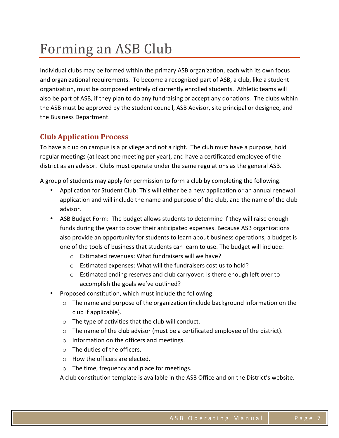### Forming an ASB Club

Individual clubs may be formed within the primary ASB organization, each with its own focus and organizational requirements. To become a recognized part of ASB, a club, like a student organization, must be composed entirely of currently enrolled students. Athletic teams will also be part of ASB, if they plan to do any fundraising or accept any donations. The clubs within the ASB must be approved by the student council, ASB Advisor, site principal or designee, and the Business Department.

### **Club Application Process**

To have a club on campus is a privilege and not a right. The club must have a purpose, hold regular meetings (at least one meeting per year), and have a certificated employee of the district as an advisor. Clubs must operate under the same regulations as the general ASB.

A group of students may apply for permission to form a club by completing the following.

- Application for Student Club: This will either be a new application or an annual renewal application and will include the name and purpose of the club, and the name of the club advisor.
- ASB Budget Form: The budget allows students to determine if they will raise enough funds during the year to cover their anticipated expenses. Because ASB organizations also provide an opportunity for students to learn about business operations, a budget is one of the tools of business that students can learn to use. The budget will include:
	- $\circ$  Estimated revenues: What fundraisers will we have?
	- $\circ$  Estimated expenses: What will the fundraisers cost us to hold?
	- $\circ$  Estimated ending reserves and club carryover: Is there enough left over to accomplish the goals we've outlined?
- Proposed constitution, which must include the following:
	- $\circ$  The name and purpose of the organization (include background information on the club if applicable).
	- $\circ$  The type of activities that the club will conduct.
	- $\circ$  The name of the club advisor (must be a certificated employee of the district).
	- $\circ$  Information on the officers and meetings.
	- $\circ$  The duties of the officers.
	- $\circ$  How the officers are elected.
	- $\circ$  The time, frequency and place for meetings.

A club constitution template is available in the ASB Office and on the District's website.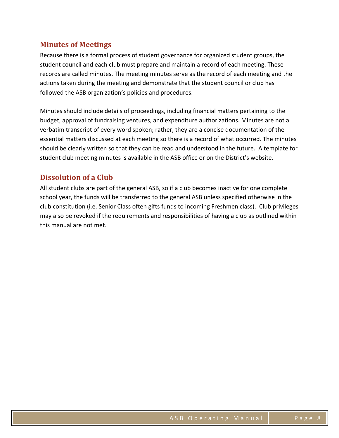### **Minutes of Meetings**

Because there is a formal process of student governance for organized student groups, the student council and each club must prepare and maintain a record of each meeting. These records are called minutes. The meeting minutes serve as the record of each meeting and the actions taken during the meeting and demonstrate that the student council or club has followed the ASB organization's policies and procedures.

Minutes should include details of proceedings, including financial matters pertaining to the budget, approval of fundraising ventures, and expenditure authorizations. Minutes are not a verbatim transcript of every word spoken; rather, they are a concise documentation of the essential matters discussed at each meeting so there is a record of what occurred. The minutes should be clearly written so that they can be read and understood in the future. A template for student club meeting minutes is available in the ASB office or on the District's website.

### **Dissolution of a Club**

All student clubs are part of the general ASB, so if a club becomes inactive for one complete school year, the funds will be transferred to the general ASB unless specified otherwise in the club constitution (i.e. Senior Class often gifts funds to incoming Freshmen class). Club privileges may also be revoked if the requirements and responsibilities of having a club as outlined within this manual are not met.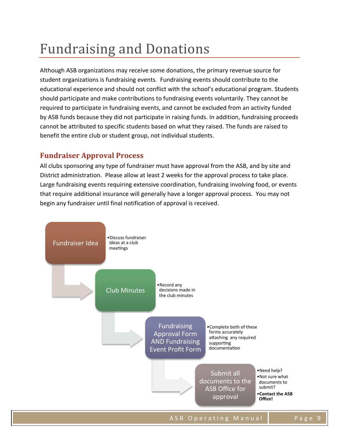### **Fundraising and Donations**

Although ASB organizations may receive some donations, the primary revenue source for student organizations is fundraising events. Fundraising events should contribute to the educational experience and should not conflict with the school's educational program. Students should participate and make contributions to fundraising events voluntarily. They cannot be required to participate in fundraising events, and cannot be excluded from an activity funded by ASB funds because they did not participate in raising funds. In addition, fundraising proceeds cannot be attributed to specific students based on what they raised. The funds are raised to benefit the entire club or student group, not individual students.

### **Fundraiser Approval Process**

All clubs sponsoring any type of fundraiser must have approval from the ASB, and by site and District administration. Please allow at least 2 weeks for the approval process to take place. Large fundraising events requiring extensive coordination, fundraising involving food, or events that require additional insurance will generally have a longer approval process. You may not begin any fundraiser until final notification of approval is received.

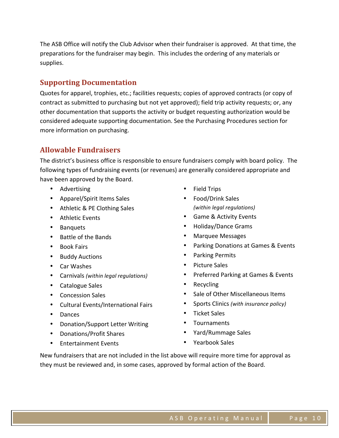The ASB Office will notify the Club Advisor when their fundraiser is approved. At that time, the preparations for the fundraiser may begin. This includes the ordering of any materials or supplies. 

#### **Supporting Documentation**

Quotes for apparel, trophies, etc.; facilities requests; copies of approved contracts (or copy of contract as submitted to purchasing but not yet approved); field trip activity requests; or, any other documentation that supports the activity or budget requesting authorization would be considered adequate supporting documentation. See the Purchasing Procedures section for more information on purchasing.

### **Allowable Fundraisers**

The district's business office is responsible to ensure fundraisers comply with board policy. The following types of fundraising events (or revenues) are generally considered appropriate and have been approved by the Board.

- Advertising
- Apparel/Spirit Items Sales
- Athletic & PE Clothing Sales
- Athletic Events
- Banquets
- Battle of the Bands
- Book Fairs
- Buddy Auctions
- Car Washes
- Carnivals *(within legal regulations)*
- Catalogue Sales
- Concession Sales
- Cultural Events/International Fairs
- Dances
- Donation/Support Letter Writing
- Donations/Profit Shares
- Entertainment Events
- Field Trips
- Food/Drink Sales *(within legal regulations)*
- Game & Activity Events
- Holiday/Dance Grams
- Marquee Messages
- Parking Donations at Games & Events
- Parking Permits
- Picture Sales
- Preferred Parking at Games & Events
- Recycling
- Sale of Other Miscellaneous Items
- Sports Clinics (with insurance policy)
- Ticket Sales
- Tournaments
- Yard/Rummage Sales
- Yearbook Sales

New fundraisers that are not included in the list above will require more time for approval as they must be reviewed and, in some cases, approved by formal action of the Board.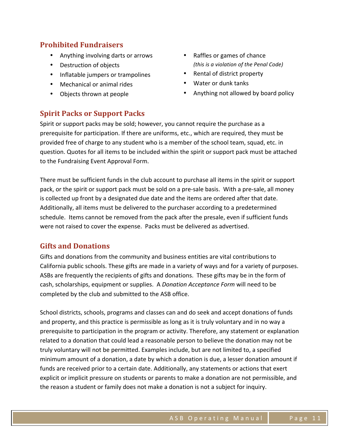### **Prohibited Fundraisers**

- Anything involving darts or arrows
- Destruction of objects
- Inflatable jumpers or trampolines
- Mechanical or animal rides
- Objects thrown at people
- Raffles or games of chance *(this is a violation of the Penal Code)*
- Rental of district property
- Water or dunk tanks
- Anything not allowed by board policy

#### **Spirit Packs or Support Packs**

Spirit or support packs may be sold; however, you cannot require the purchase as a prerequisite for participation. If there are uniforms, etc., which are required, they must be provided free of charge to any student who is a member of the school team, squad, etc. in question. Quotes for all items to be included within the spirit or support pack must be attached to the Fundraising Event Approval Form.

There must be sufficient funds in the club account to purchase all items in the spirit or support pack, or the spirit or support pack must be sold on a pre-sale basis. With a pre-sale, all money is collected up front by a designated due date and the items are ordered after that date. Additionally, all items must be delivered to the purchaser according to a predetermined schedule. Items cannot be removed from the pack after the presale, even if sufficient funds were not raised to cover the expense. Packs must be delivered as advertised.

#### **Gifts and Donations**

Gifts and donations from the community and business entities are vital contributions to California public schools. These gifts are made in a variety of ways and for a variety of purposes. ASBs are frequently the recipients of gifts and donations. These gifts may be in the form of cash, scholarships, equipment or supplies. A *Donation Acceptance Form* will need to be completed by the club and submitted to the ASB office.

School districts, schools, programs and classes can and do seek and accept donations of funds and property, and this practice is permissible as long as it is truly voluntary and in no way a prerequisite to participation in the program or activity. Therefore, any statement or explanation related to a donation that could lead a reasonable person to believe the donation may not be truly voluntary will not be permitted. Examples include, but are not limited to, a specified minimum amount of a donation, a date by which a donation is due, a lesser donation amount if funds are received prior to a certain date. Additionally, any statements or actions that exert explicit or implicit pressure on students or parents to make a donation are not permissible, and the reason a student or family does not make a donation is not a subject for inquiry.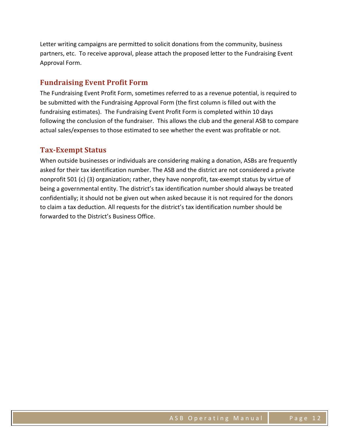Letter writing campaigns are permitted to solicit donations from the community, business partners, etc. To receive approval, please attach the proposed letter to the Fundraising Event Approval Form.

#### **Fundraising Event Profit Form**

The Fundraising Event Profit Form, sometimes referred to as a revenue potential, is required to be submitted with the Fundraising Approval Form (the first column is filled out with the fundraising estimates). The Fundraising Event Profit Form is completed within 10 days following the conclusion of the fundraiser. This allows the club and the general ASB to compare actual sales/expenses to those estimated to see whether the event was profitable or not.

#### **Tax-Exempt Status**

When outside businesses or individuals are considering making a donation, ASBs are frequently asked for their tax identification number. The ASB and the district are not considered a private nonprofit 501 (c) (3) organization; rather, they have nonprofit, tax-exempt status by virtue of being a governmental entity. The district's tax identification number should always be treated confidentially; it should not be given out when asked because it is not required for the donors to claim a tax deduction. All requests for the district's tax identification number should be forwarded to the District's Business Office.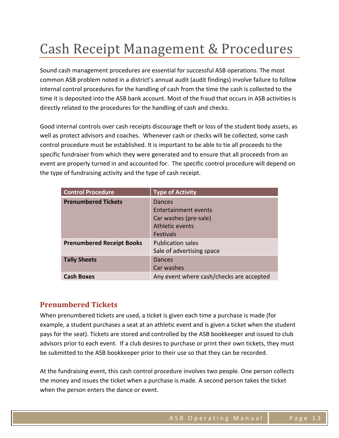### Cash Receipt Management & Procedures

Sound cash management procedures are essential for successful ASB operations. The most common ASB problem noted in a district's annual audit (audit findings) involve failure to follow internal control procedures for the handling of cash from the time the cash is collected to the time it is deposited into the ASB bank account. Most of the fraud that occurs in ASB activities is directly related to the procedures for the handling of cash and checks.

Good internal controls over cash receipts discourage theft or loss of the student body assets, as well as protect advisors and coaches. Whenever cash or checks will be collected, some cash control procedure must be established. It is important to be able to tie all proceeds to the specific fundraiser from which they were generated and to ensure that all proceeds from an event are properly turned in and accounted for. The specific control procedure will depend on the type of fundraising activity and the type of cash receipt.

| <b>Control Procedure</b>         | <b>Type of Activity</b>                  |
|----------------------------------|------------------------------------------|
| <b>Prenumbered Tickets</b>       | Dances                                   |
|                                  | Entertainment events                     |
|                                  | Car washes (pre-sale)                    |
|                                  | Athletic events                          |
|                                  | <b>Festivals</b>                         |
| <b>Prenumbered Receipt Books</b> | <b>Publication sales</b>                 |
|                                  | Sale of advertising space                |
| <b>Tally Sheets</b>              | Dances                                   |
|                                  | Car washes                               |
| <b>Cash Boxes</b>                | Any event where cash/checks are accepted |

### **Prenumbered Tickets**

When prenumbered tickets are used, a ticket is given each time a purchase is made (for example, a student purchases a seat at an athletic event and is given a ticket when the student pays for the seat). Tickets are stored and controlled by the ASB bookkeeper and issued to club advisors prior to each event. If a club desires to purchase or print their own tickets, they must be submitted to the ASB bookkeeper prior to their use so that they can be recorded.

At the fundraising event, this cash control procedure involves two people. One person collects the money and issues the ticket when a purchase is made. A second person takes the ticket when the person enters the dance or event.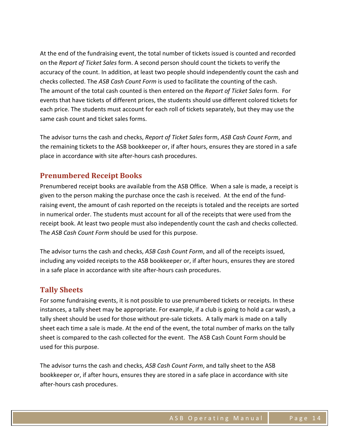At the end of the fundraising event, the total number of tickets issued is counted and recorded on the *Report of Ticket Sales* form. A second person should count the tickets to verify the accuracy of the count. In addition, at least two people should independently count the cash and checks collected. The ASB Cash Count Form is used to facilitate the counting of the cash. The amount of the total cash counted is then entered on the *Report of Ticket Sales* form. For events that have tickets of different prices, the students should use different colored tickets for each price. The students must account for each roll of tickets separately, but they may use the same cash count and ticket sales forms.

The advisor turns the cash and checks, *Report of Ticket Sales* form, *ASB Cash Count Form*, and the remaining tickets to the ASB bookkeeper or, if after hours, ensures they are stored in a safe place in accordance with site after-hours cash procedures.

### **Prenumbered Receipt Books**

Prenumbered receipt books are available from the ASB Office. When a sale is made, a receipt is given to the person making the purchase once the cash is received. At the end of the fundraising event, the amount of cash reported on the receipts is totaled and the receipts are sorted in numerical order. The students must account for all of the receipts that were used from the receipt book. At least two people must also independently count the cash and checks collected. The *ASB Cash Count Form* should be used for this purpose.

The advisor turns the cash and checks, *ASB Cash Count Form*, and all of the receipts issued, including any voided receipts to the ASB bookkeeper or, if after hours, ensures they are stored in a safe place in accordance with site after-hours cash procedures.

#### **Tally Sheets**

For some fundraising events, it is not possible to use prenumbered tickets or receipts. In these instances, a tally sheet may be appropriate. For example, if a club is going to hold a car wash, a tally sheet should be used for those without pre-sale tickets. A tally mark is made on a tally sheet each time a sale is made. At the end of the event, the total number of marks on the tally sheet is compared to the cash collected for the event. The ASB Cash Count Form should be used for this purpose.

The advisor turns the cash and checks, *ASB Cash Count Form*, and tally sheet to the ASB bookkeeper or, if after hours, ensures they are stored in a safe place in accordance with site after-hours cash procedures.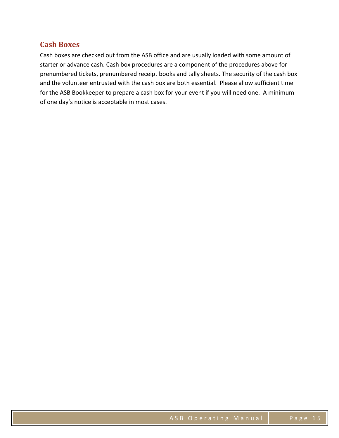#### **Cash Boxes**

Cash boxes are checked out from the ASB office and are usually loaded with some amount of starter or advance cash. Cash box procedures are a component of the procedures above for prenumbered tickets, prenumbered receipt books and tally sheets. The security of the cash box and the volunteer entrusted with the cash box are both essential. Please allow sufficient time for the ASB Bookkeeper to prepare a cash box for your event if you will need one. A minimum of one day's notice is acceptable in most cases.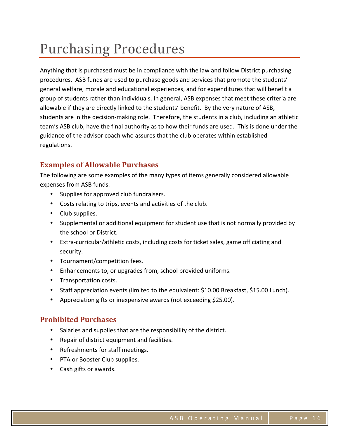### Purchasing Procedures

Anything that is purchased must be in compliance with the law and follow District purchasing procedures. ASB funds are used to purchase goods and services that promote the students' general welfare, morale and educational experiences, and for expenditures that will benefit a group of students rather than individuals. In general, ASB expenses that meet these criteria are allowable if they are directly linked to the students' benefit. By the very nature of ASB, students are in the decision-making role. Therefore, the students in a club, including an athletic team's ASB club, have the final authority as to how their funds are used. This is done under the guidance of the advisor coach who assures that the club operates within established regulations. 

### **Examples of Allowable Purchases**

The following are some examples of the many types of items generally considered allowable expenses from ASB funds.

- Supplies for approved club fundraisers.
- Costs relating to trips, events and activities of the club.
- Club supplies.
- Supplemental or additional equipment for student use that is not normally provided by the school or District.
- Extra-curricular/athletic costs, including costs for ticket sales, game officiating and security.
- Tournament/competition fees.
- Enhancements to, or upgrades from, school provided uniforms.
- Transportation costs.
- Staff appreciation events (limited to the equivalent: \$10.00 Breakfast, \$15.00 Lunch).
- Appreciation gifts or inexpensive awards (not exceeding \$25.00).

### **Prohibited Purchases**

- Salaries and supplies that are the responsibility of the district.
- Repair of district equipment and facilities.
- Refreshments for staff meetings.
- PTA or Booster Club supplies.
- Cash gifts or awards.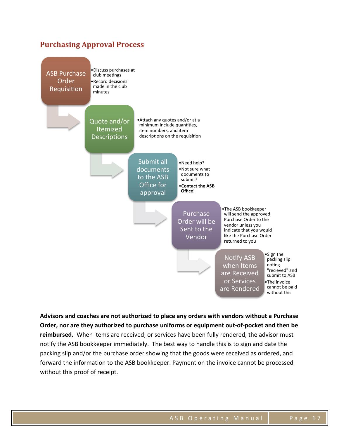### **Purchasing Approval Process**



Advisors and coaches are not authorized to place any orders with vendors without a Purchase Order, nor are they authorized to purchase uniforms or equipment out-of-pocket and then be reimbursed. When items are received, or services have been fully rendered, the advisor must notify the ASB bookkeeper immediately. The best way to handle this is to sign and date the packing slip and/or the purchase order showing that the goods were received as ordered, and forward the information to the ASB bookkeeper. Payment on the invoice cannot be processed without this proof of receipt.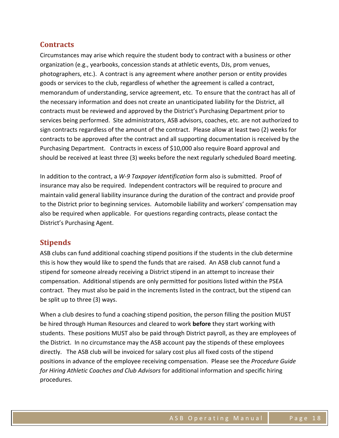### **Contracts**

Circumstances may arise which require the student body to contract with a business or other organization (e.g., yearbooks, concession stands at athletic events, DJs, prom venues, photographers, etc.). A contract is any agreement where another person or entity provides goods or services to the club, regardless of whether the agreement is called a contract, memorandum of understanding, service agreement, etc. To ensure that the contract has all of the necessary information and does not create an unanticipated liability for the District, all contracts must be reviewed and approved by the District's Purchasing Department prior to services being performed. Site administrators, ASB advisors, coaches, etc. are not authorized to sign contracts regardless of the amount of the contract. Please allow at least two (2) weeks for contracts to be approved after the contract and all supporting documentation is received by the Purchasing Department. Contracts in excess of \$10,000 also require Board approval and should be received at least three (3) weeks before the next regularly scheduled Board meeting.

In addition to the contract, a *W-9 Taxpayer Identification* form also is submitted. Proof of insurance may also be required. Independent contractors will be required to procure and maintain valid general liability insurance during the duration of the contract and provide proof to the District prior to beginning services. Automobile liability and workers' compensation may also be required when applicable. For questions regarding contracts, please contact the District's Purchasing Agent.

### **Stipends**

ASB clubs can fund additional coaching stipend positions if the students in the club determine this is how they would like to spend the funds that are raised. An ASB club cannot fund a stipend for someone already receiving a District stipend in an attempt to increase their compensation. Additional stipends are only permitted for positions listed within the PSEA contract. They must also be paid in the increments listed in the contract, but the stipend can be split up to three (3) ways.

When a club desires to fund a coaching stipend position, the person filling the position MUST be hired through Human Resources and cleared to work **before** they start working with students. These positions MUST also be paid through District payroll, as they are employees of the District. In no circumstance may the ASB account pay the stipends of these employees directly. The ASB club will be invoiced for salary cost plus all fixed costs of the stipend positions in advance of the employee receiving compensation. Please see the *Procedure Guide for Hiring Athletic Coaches and Club Advisors* for additional information and specific hiring procedures.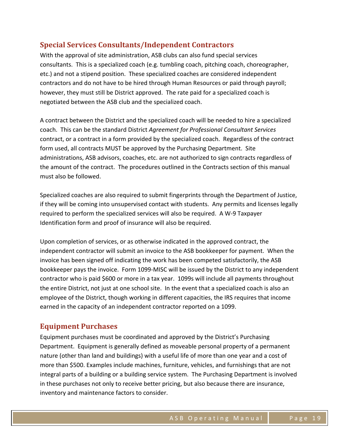### **Special Services Consultants/Independent Contractors**

With the approval of site administration, ASB clubs can also fund special services consultants. This is a specialized coach (e.g. tumbling coach, pitching coach, choreographer, etc.) and not a stipend position. These specialized coaches are considered independent contractors and do not have to be hired through Human Resources or paid through payroll; however, they must still be District approved. The rate paid for a specialized coach is negotiated between the ASB club and the specialized coach.

A contract between the District and the specialized coach will be needed to hire a specialized coach. This can be the standard District *Agreement for Professional Consultant Services* contract, or a contract in a form provided by the specialized coach. Regardless of the contract form used, all contracts MUST be approved by the Purchasing Department. Site administrations, ASB advisors, coaches, etc. are not authorized to sign contracts regardless of the amount of the contract. The procedures outlined in the Contracts section of this manual must also be followed.

Specialized coaches are also required to submit fingerprints through the Department of Justice, if they will be coming into unsupervised contact with students. Any permits and licenses legally required to perform the specialized services will also be required. A W-9 Taxpayer Identification form and proof of insurance will also be required.

Upon completion of services, or as otherwise indicated in the approved contract, the independent contractor will submit an invoice to the ASB bookkeeper for payment. When the invoice has been signed off indicating the work has been competed satisfactorily, the ASB bookkeeper pays the invoice. Form 1099-MISC will be issued by the District to any independent contractor who is paid \$600 or more in a tax year. 1099s will include all payments throughout the entire District, not just at one school site. In the event that a specialized coach is also an employee of the District, though working in different capacities, the IRS requires that income earned in the capacity of an independent contractor reported on a 1099.

### **Equipment Purchases**

Equipment purchases must be coordinated and approved by the District's Purchasing Department. Equipment is generally defined as moveable personal property of a permanent nature (other than land and buildings) with a useful life of more than one year and a cost of more than \$500. Examples include machines, furniture, vehicles, and furnishings that are not integral parts of a building or a building service system. The Purchasing Department is involved in these purchases not only to receive better pricing, but also because there are insurance, inventory and maintenance factors to consider.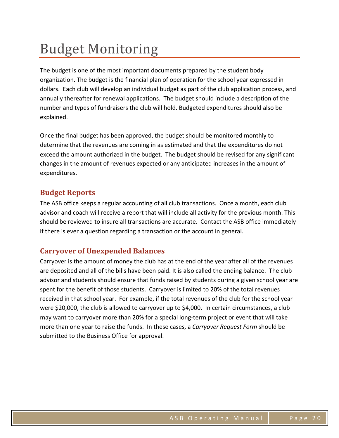### **Budget Monitoring**

The budget is one of the most important documents prepared by the student body organization. The budget is the financial plan of operation for the school year expressed in dollars. Each club will develop an individual budget as part of the club application process, and annually thereafter for renewal applications. The budget should include a description of the number and types of fundraisers the club will hold. Budgeted expenditures should also be explained. 

Once the final budget has been approved, the budget should be monitored monthly to determine that the revenues are coming in as estimated and that the expenditures do not exceed the amount authorized in the budget. The budget should be revised for any significant changes in the amount of revenues expected or any anticipated increases in the amount of expenditures.

### **Budget Reports**

The ASB office keeps a regular accounting of all club transactions. Once a month, each club advisor and coach will receive a report that will include all activity for the previous month. This should be reviewed to insure all transactions are accurate. Contact the ASB office immediately if there is ever a question regarding a transaction or the account in general.

### **Carryover of Unexpended Balances**

Carryover is the amount of money the club has at the end of the year after all of the revenues are deposited and all of the bills have been paid. It is also called the ending balance. The club advisor and students should ensure that funds raised by students during a given school year are spent for the benefit of those students. Carryover is limited to 20% of the total revenues received in that school year. For example, if the total revenues of the club for the school year were \$20,000, the club is allowed to carryover up to \$4,000. In certain circumstances, a club may want to carryover more than 20% for a special long-term project or event that will take more than one year to raise the funds. In these cases, a *Carryover Request Form* should be submitted to the Business Office for approval.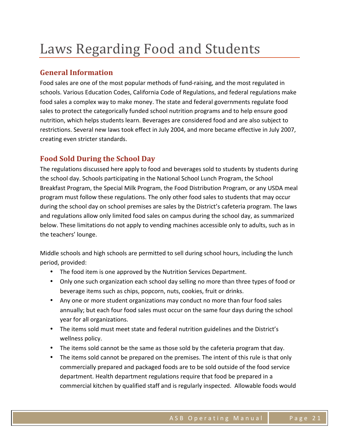### Laws Regarding Food and Students

### **General Information**

Food sales are one of the most popular methods of fund-raising, and the most regulated in schools. Various Education Codes, California Code of Regulations, and federal regulations make food sales a complex way to make money. The state and federal governments regulate food sales to protect the categorically funded school nutrition programs and to help ensure good nutrition, which helps students learn. Beverages are considered food and are also subject to restrictions. Several new laws took effect in July 2004, and more became effective in July 2007, creating even stricter standards.

### **Food Sold During the School Day**

The regulations discussed here apply to food and beverages sold to students by students during the school day. Schools participating in the National School Lunch Program, the School Breakfast Program, the Special Milk Program, the Food Distribution Program, or any USDA meal program must follow these regulations. The only other food sales to students that may occur during the school day on school premises are sales by the District's cafeteria program. The laws and regulations allow only limited food sales on campus during the school day, as summarized below. These limitations do not apply to vending machines accessible only to adults, such as in the teachers' lounge.

Middle schools and high schools are permitted to sell during school hours, including the lunch period, provided:

- The food item is one approved by the Nutrition Services Department.
- Only one such organization each school day selling no more than three types of food or beverage items such as chips, popcorn, nuts, cookies, fruit or drinks.
- Any one or more student organizations may conduct no more than four food sales annually; but each four food sales must occur on the same four days during the school year for all organizations.
- The items sold must meet state and federal nutrition guidelines and the District's wellness policy.
- The items sold cannot be the same as those sold by the cafeteria program that day.
- The items sold cannot be prepared on the premises. The intent of this rule is that only commercially prepared and packaged foods are to be sold outside of the food service department. Health department regulations require that food be prepared in a commercial kitchen by qualified staff and is regularly inspected. Allowable foods would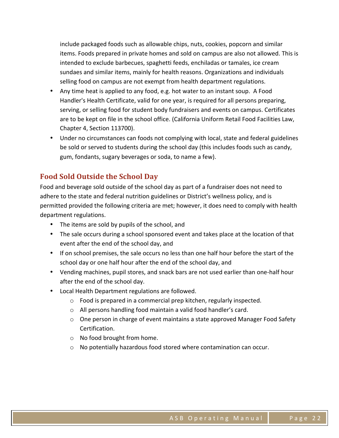include packaged foods such as allowable chips, nuts, cookies, popcorn and similar items. Foods prepared in private homes and sold on campus are also not allowed. This is intended to exclude barbecues, spaghetti feeds, enchiladas or tamales, ice cream sundaes and similar items, mainly for health reasons. Organizations and individuals selling food on campus are not exempt from health department regulations.

- Any time heat is applied to any food, e.g. hot water to an instant soup. A Food Handler's Health Certificate, valid for one year, is required for all persons preparing, serving, or selling food for student body fundraisers and events on campus. Certificates are to be kept on file in the school office. (California Uniform Retail Food Facilities Law, Chapter 4, Section 113700).
- Under no circumstances can foods not complying with local, state and federal guidelines be sold or served to students during the school day (this includes foods such as candy, gum, fondants, sugary beverages or soda, to name a few).

### **Food Sold Outside the School Day**

Food and beverage sold outside of the school day as part of a fundraiser does not need to adhere to the state and federal nutrition guidelines or District's wellness policy, and is permitted provided the following criteria are met; however, it does need to comply with health department regulations.

- The items are sold by pupils of the school, and
- The sale occurs during a school sponsored event and takes place at the location of that event after the end of the school day, and
- If on school premises, the sale occurs no less than one half hour before the start of the school day or one half hour after the end of the school day, and
- Vending machines, pupil stores, and snack bars are not used earlier than one-half hour after the end of the school day.
- Local Health Department regulations are followed.
	- $\circ$  Food is prepared in a commercial prep kitchen, regularly inspected.
	- $\circ$  All persons handling food maintain a valid food handler's card.
	- $\circ$  One person in charge of event maintains a state approved Manager Food Safety Certification.
	- $\circ$  No food brought from home.
	- $\circ$  No potentially hazardous food stored where contamination can occur.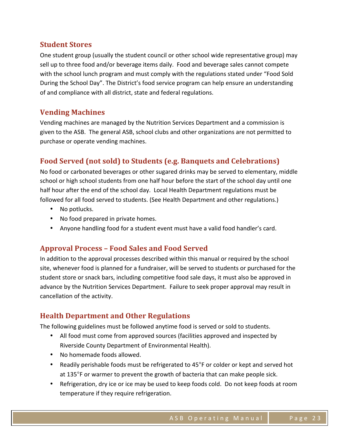### **Student Stores**

One student group (usually the student council or other school wide representative group) may sell up to three food and/or beverage items daily. Food and beverage sales cannot compete with the school lunch program and must comply with the regulations stated under "Food Sold During the School Day". The District's food service program can help ensure an understanding of and compliance with all district, state and federal regulations.

### **Vending Machines**

Vending machines are managed by the Nutrition Services Department and a commission is given to the ASB. The general ASB, school clubs and other organizations are not permitted to purchase or operate vending machines.

### **Food Served (not sold) to Students (e.g. Banquets and Celebrations)**

No food or carbonated beverages or other sugared drinks may be served to elementary, middle school or high school students from one half hour before the start of the school day until one half hour after the end of the school day. Local Health Department regulations must be followed for all food served to students. (See Health Department and other regulations.)

- No potlucks.
- No food prepared in private homes.
- Anyone handling food for a student event must have a valid food handler's card.

### **Approval Process – Food Sales and Food Served**

In addition to the approval processes described within this manual or required by the school site, whenever food is planned for a fundraiser, will be served to students or purchased for the student store or snack bars, including competitive food sale days, it must also be approved in advance by the Nutrition Services Department. Failure to seek proper approval may result in cancellation of the activity.

### **Health Department and Other Regulations**

The following guidelines must be followed anytime food is served or sold to students.

- All food must come from approved sources (facilities approved and inspected by Riverside County Department of Environmental Health).
- No homemade foods allowed.
- Readily perishable foods must be refrigerated to 45°F or colder or kept and served hot at 135°F or warmer to prevent the growth of bacteria that can make people sick.
- Refrigeration, dry ice or ice may be used to keep foods cold. Do not keep foods at room temperature if they require refrigeration.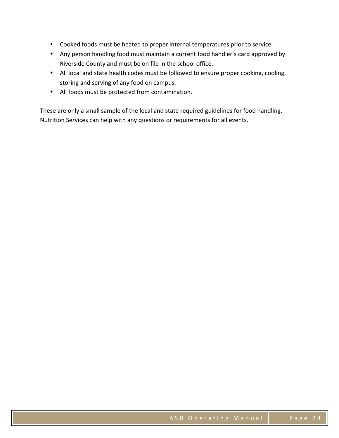- Cooked foods must be heated to proper internal temperatures prior to service.
- Any person handling food must maintain a current food handler's card approved by Riverside County and must be on file in the school office.
- All local and state health codes must be followed to ensure proper cooking, cooling, storing and serving of any food on campus.
- All foods must be protected from contamination.

These are only a small sample of the local and state required guidelines for food handling. Nutrition Services can help with any questions or requirements for all events.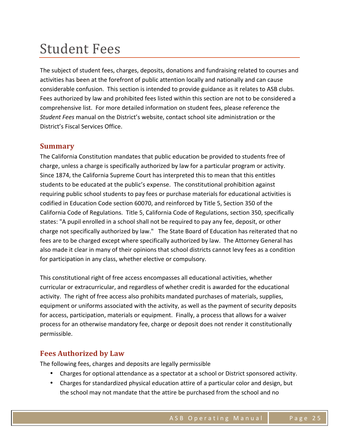### **Student Fees**

The subject of student fees, charges, deposits, donations and fundraising related to courses and activities has been at the forefront of public attention locally and nationally and can cause considerable confusion. This section is intended to provide guidance as it relates to ASB clubs. Fees authorized by law and prohibited fees listed within this section are not to be considered a comprehensive list. For more detailed information on student fees, please reference the *Student Fees* manual on the District's website, contact school site administration or the District's Fiscal Services Office.

#### **Summary**

The California Constitution mandates that public education be provided to students free of charge, unless a charge is specifically authorized by law for a particular program or activity. Since 1874, the California Supreme Court has interpreted this to mean that this entitles students to be educated at the public's expense. The constitutional prohibition against requiring public school students to pay fees or purchase materials for educational activities is codified in Education Code section 60070, and reinforced by Title 5, Section 350 of the California Code of Regulations. Title 5, California Code of Regulations, section 350, specifically states: "A pupil enrolled in a school shall not be required to pay any fee, deposit, or other charge not specifically authorized by law." The State Board of Education has reiterated that no fees are to be charged except where specifically authorized by law. The Attorney General has also made it clear in many of their opinions that school districts cannot levy fees as a condition for participation in any class, whether elective or compulsory.

This constitutional right of free access encompasses all educational activities, whether curricular or extracurricular, and regardless of whether credit is awarded for the educational activity. The right of free access also prohibits mandated purchases of materials, supplies, equipment or uniforms associated with the activity, as well as the payment of security deposits for access, participation, materials or equipment. Finally, a process that allows for a waiver process for an otherwise mandatory fee, charge or deposit does not render it constitutionally permissible.

#### **Fees Authorized by Law**

The following fees, charges and deposits are legally permissible

- Charges for optional attendance as a spectator at a school or District sponsored activity.
- Charges for standardized physical education attire of a particular color and design, but the school may not mandate that the attire be purchased from the school and no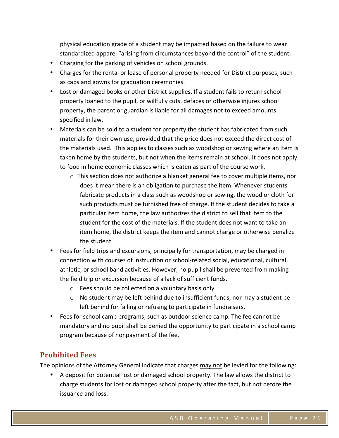physical education grade of a student may be impacted based on the failure to wear standardized apparel "arising from circumstances beyond the control" of the student.

- Charging for the parking of vehicles on school grounds.
- Charges for the rental or lease of personal property needed for District purposes, such as caps and gowns for graduation ceremonies.
- Lost or damaged books or other District supplies. If a student fails to return school property loaned to the pupil, or willfully cuts, defaces or otherwise injures school property, the parent or guardian is liable for all damages not to exceed amounts specified in law.
- Materials can be sold to a student for property the student has fabricated from such materials for their own use, provided that the price does not exceed the direct cost of the materials used. This applies to classes such as woodshop or sewing where an item is taken home by the students, but not when the items remain at school. It does not apply to food in home economic classes which is eaten as part of the course work.
	- $\circ$  This section does not authorize a blanket general fee to cover multiple items, nor does it mean there is an obligation to purchase the item. Whenever students fabricate products in a class such as woodshop or sewing, the wood or cloth for such products must be furnished free of charge. If the student decides to take a particular item home, the law authorizes the district to sell that item to the student for the cost of the materials. If the student does not want to take an item home, the district keeps the item and cannot charge or otherwise penalize the student.
- Fees for field trips and excursions, principally for transportation, may be charged in connection with courses of instruction or school-related social, educational, cultural, athletic, or school band activities. However, no pupil shall be prevented from making the field trip or excursion because of a lack of sufficient funds.
	- $\circ$  Fees should be collected on a voluntary basis only.
	- $\circ$  No student may be left behind due to insufficient funds, nor may a student be left behind for failing or refusing to participate in fundraisers.
- Fees for school camp programs, such as outdoor science camp. The fee cannot be mandatory and no pupil shall be denied the opportunity to participate in a school camp program because of nonpayment of the fee.

### **Prohibited Fees**

The opinions of the Attorney General indicate that charges may not be levied for the following:

• A deposit for potential lost or damaged school property. The law allows the district to charge students for lost or damaged school property after the fact, but not before the issuance and loss.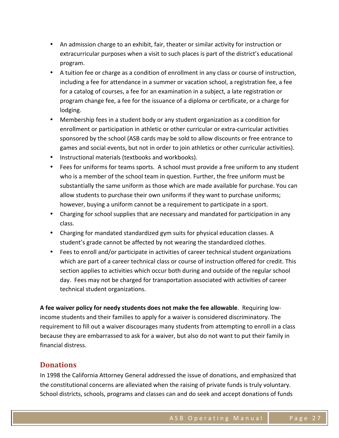- An admission charge to an exhibit, fair, theater or similar activity for instruction or extracurricular purposes when a visit to such places is part of the district's educational program.
- A tuition fee or charge as a condition of enrollment in any class or course of instruction, including a fee for attendance in a summer or vacation school, a registration fee, a fee for a catalog of courses, a fee for an examination in a subject, a late registration or program change fee, a fee for the issuance of a diploma or certificate, or a charge for lodging.
- Membership fees in a student body or any student organization as a condition for enrollment or participation in athletic or other curricular or extra-curricular activities sponsored by the school (ASB cards may be sold to allow discounts or free entrance to games and social events, but not in order to join athletics or other curricular activities).
- Instructional materials (textbooks and workbooks).
- Fees for uniforms for teams sports. A school must provide a free uniform to any student who is a member of the school team in question. Further, the free uniform must be substantially the same uniform as those which are made available for purchase. You can allow students to purchase their own uniforms if they want to purchase uniforms; however, buying a uniform cannot be a requirement to participate in a sport.
- Charging for school supplies that are necessary and mandated for participation in any class.
- Charging for mandated standardized gym suits for physical education classes. A student's grade cannot be affected by not wearing the standardized clothes.
- Fees to enroll and/or participate in activities of career technical student organizations which are part of a career technical class or course of instruction offered for credit. This section applies to activities which occur both during and outside of the regular school day. Fees may not be charged for transportation associated with activities of career technical student organizations.

A fee waiver policy for needy students does not make the fee allowable. Requiring lowincome students and their families to apply for a waiver is considered discriminatory. The requirement to fill out a waiver discourages many students from attempting to enroll in a class because they are embarrassed to ask for a waiver, but also do not want to put their family in financial distress.

#### **Donations**

In 1998 the California Attorney General addressed the issue of donations, and emphasized that the constitutional concerns are alleviated when the raising of private funds is truly voluntary. School districts, schools, programs and classes can and do seek and accept donations of funds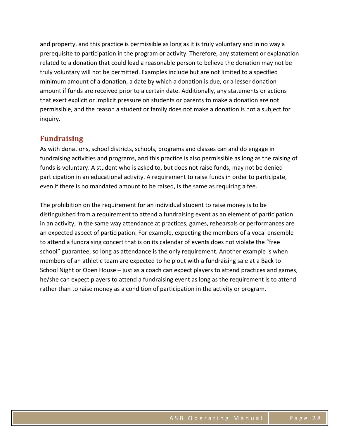and property, and this practice is permissible as long as it is truly voluntary and in no way a prerequisite to participation in the program or activity. Therefore, any statement or explanation related to a donation that could lead a reasonable person to believe the donation may not be truly voluntary will not be permitted. Examples include but are not limited to a specified minimum amount of a donation, a date by which a donation is due, or a lesser donation amount if funds are received prior to a certain date. Additionally, any statements or actions that exert explicit or implicit pressure on students or parents to make a donation are not permissible, and the reason a student or family does not make a donation is not a subject for inquiry.

#### **Fundraising**

As with donations, school districts, schools, programs and classes can and do engage in fundraising activities and programs, and this practice is also permissible as long as the raising of funds is voluntary. A student who is asked to, but does not raise funds, may not be denied participation in an educational activity. A requirement to raise funds in order to participate, even if there is no mandated amount to be raised, is the same as requiring a fee.

The prohibition on the requirement for an individual student to raise money is to be distinguished from a requirement to attend a fundraising event as an element of participation in an activity, in the same way attendance at practices, games, rehearsals or performances are an expected aspect of participation. For example, expecting the members of a vocal ensemble to attend a fundraising concert that is on its calendar of events does not violate the "free school" guarantee, so long as attendance is the only requirement. Another example is when members of an athletic team are expected to help out with a fundraising sale at a Back to School Night or Open House  $-$  just as a coach can expect players to attend practices and games, he/she can expect players to attend a fundraising event as long as the requirement is to attend rather than to raise money as a condition of participation in the activity or program.